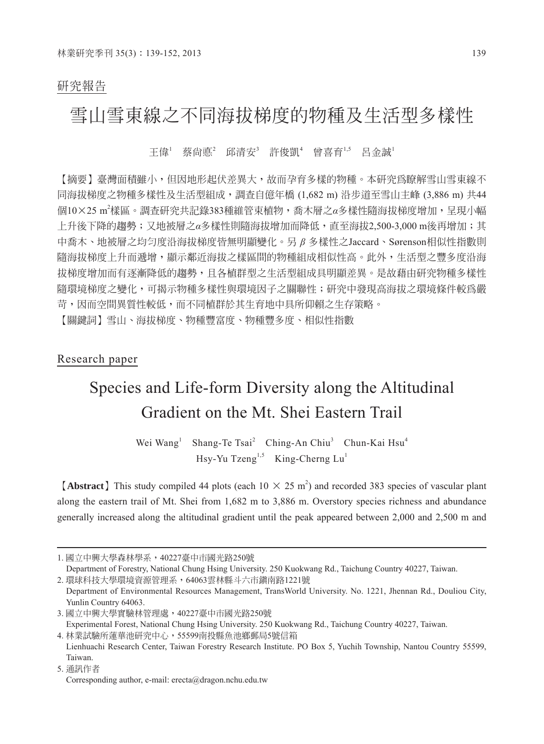# 研究報告

# 雪山雪東線之不同海拔梯度的物種及生活型多樣性

王偉' 蔡尙悳' 邱清安' 許俊凱' 曾喜育'.<sup>5</sup> 呂金誠'

【摘要】臺灣面積雖小,但因地形起伏差異大,故而孕育多樣的物種。本研究為瞭解雪山雪東線不 同海拔梯度之物種多樣性及生活型組成,調查自億年橋 (1,682 m) 沿步道至雪山主峰 (3,886 m) 共44 個10×25 m<sup>2</sup>樣區。調查研究共記錄383種維管束植物,喬木層之α多樣性隨海拔梯度增加,呈現小幅 上升後下降的趨勢;又地被層之*α*多樣性則隨海拔增加而降低,直至海拔2,500-3,000 m後再增加;其 中喬木、地被層之均勻度沿海拔梯度皆無明顯變化。另 *β* 多樣性之Jaccard、Sørenson相似性指數則 隨海拔梯度上升而遞增,顯示鄰近海拔之樣區間的物種組成相似性高。此外,生活型之豐多度沿海 拔梯度增加而有逐漸降低的趨勢,且各植群型之生活型組成具明顯差異。是故藉由研究物種多樣性 隨環境梯度之變化,可揭示物種多樣性與環境因子之關聯性;研究中發現高海拔之環境條件較為嚴 苛,因而空間異質性較低,而不同植群於其生育地中具所仰賴之生存策略。

【關鍵詞】雪山、海拔梯度、物種豐富度、物種豐多度、相似性指數

# Research paper

# Species and Life-form Diversity along the Altitudinal Gradient on the Mt. Shei Eastern Trail

Wei Wang<sup>1</sup> Shang-Te Tsai<sup>2</sup> Ching-An Chiu<sup>3</sup> Chun-Kai Hsu<sup>4</sup> Hsy-Yu Tzeng<sup>1,5</sup> King-Cherng Lu<sup>1</sup>

**[Abstract]** This study compiled 44 plots (each  $10 \times 25$  m<sup>2</sup>) and recorded 383 species of vascular plant along the eastern trail of Mt. Shei from 1,682 m to 3,886 m. Overstory species richness and abundance generally increased along the altitudinal gradient until the peak appeared between 2,000 and 2,500 m and

5. 通訊作者

<sup>1.</sup> 國立中興大學森林學系,40227臺中市國光路250號

Department of Forestry, National Chung Hsing University. 250 Kuokwang Rd., Taichung Country 40227, Taiwan.

<sup>2.</sup> 環球科技大學環境資源管理系,64063雲林縣斗六市鎮南路1221號

Department of Environmental Resources Management, TransWorld University. No. 1221, Jhennan Rd., Douliou City, Yunlin Country 64063.

<sup>3.</sup> 國立中興大學實驗林管理處,40227臺中市國光路250號 Experimental Forest, National Chung Hsing University. 250 Kuokwang Rd., Taichung Country 40227, Taiwan.

<sup>4.</sup> 林業試驗所蓮華池研究中心,55599南投縣魚池鄉郵局5號信箱 Lienhuachi Research Center, Taiwan Forestry Research Institute. PO Box 5, Yuchih Township, Nantou Country 55599, Taiwan.

Corresponding author, e-mail: erecta@dragon.nchu.edu.tw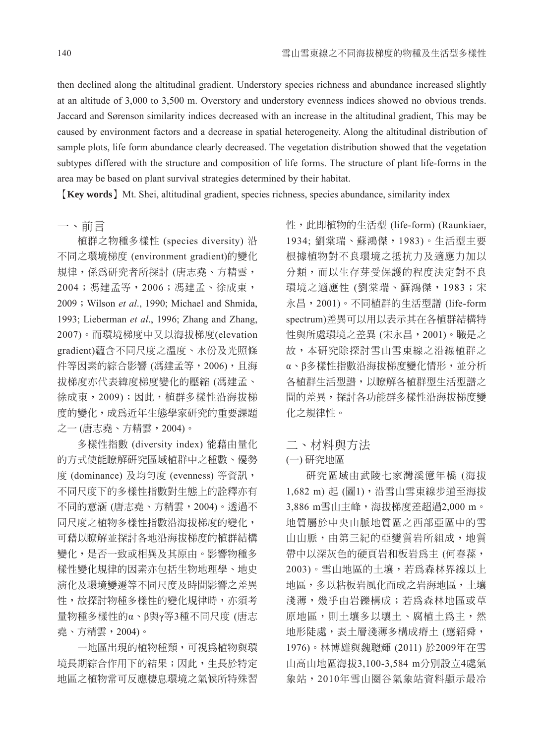then declined along the altitudinal gradient. Understory species richness and abundance increased slightly at an altitude of 3,000 to 3,500 m. Overstory and understory evenness indices showed no obvious trends. Jaccard and Sørenson similarity indices decreased with an increase in the altitudinal gradient, This may be caused by environment factors and a decrease in spatial heterogeneity. Along the altitudinal distribution of sample plots, life form abundance clearly decreased. The vegetation distribution showed that the vegetation subtypes differed with the structure and composition of life forms. The structure of plant life-forms in the area may be based on plant survival strategies determined by their habitat.

【**Key words**】Mt. Shei, altitudinal gradient, species richness, species abundance, similarity index

一、前言

植群之物種多樣性 (species diversity) 沿 不同之環境梯度 (environment gradient)的變化 規律,係為研究者所探討 (唐志堯、方精雲, 2004;馮建孟等,2006;馮建孟、徐成東, 2009;Wilson *et al*., 1990; Michael and Shmida, 1993; Lieberman *et al*., 1996; Zhang and Zhang, 2007)。而環境梯度中又以海拔梯度(elevation gradient)蘊含不同尺度之溫度、水份及光照條 件等因素的綜合影響 (馮建孟等, 2006), 且海 拔梯度亦代表緯度梯度變化的壓縮 (馮建孟、 徐成東,2009);因此,植群多樣性沿海拔梯 度的變化,成為近年生態學家研究的重要課題 之一 (唐志堯、方精雲,2004)。

多樣性指數 (diversity index) 能藉由量化 的方式使能瞭解研究區域植群中之種數、優勢 度 (dominance) 及均匀度 (evenness) 等資訊, 不同尺度下的多樣性指數對生態上的詮釋亦有 不同的意涵 (唐志堯、方精雲,2004)。透過不 同尺度之植物多樣性指數沿海拔梯度的變化, 可藉以瞭解並探討各地沿海拔梯度的植群結構 變化,是否一致或相異及其原由。影響物種多 樣性變化規律的因素亦包括生物地理學、地史 演化及環境變遷等不同尺度及時間影響之差異 性,故探討物種多樣性的變化規律時,亦須考 量物種多樣性的α、β與γ等3種不同尺度 (唐志 堯、方精雲,2004)。

一地區出現的植物種類,可視為植物與環 境長期綜合作用下的結果;因此,生長於特定 地區之植物常可反應棲息環境之氣候所特殊習

性,此即植物的生活型 (life-form) (Raunkiaer, 1934; 劉棠瑞、蘇鴻傑,1983)。生活型主要 根據植物對不良環境之抵抗力及適應力加以 分類,而以生存芽受保護的程度決定對不良 環境之適應性 (劉棠瑞、蘇鴻傑,1983;宋 永昌,2001)。不同植群的生活型譜 (life-form spectrum)差異可以用以表示其在各植群結構特 性與所處環境之差異 (宋永昌,2001)。職是之 故,本研究除探討雪山雪東線之沿線植群之 α、β多樣性指數沿海拔梯度變化情形,並分析 各植群生活型譜,以瞭解各植群型生活型譜之 間的差異,探討各功能群多樣性沿海拔梯度變 化之規律性。

# 二、材料與方法

#### (一) 研究地區

研究區域由武陵七家灣溪億年橋 (海拔 1,682 m) 起 (圖1),沿雪山雪東線步道至海拔 3,886 m雪山主峰,海拔梯度差超過2,000 m。 地質屬於中央山脈地質區之西部亞區中的雪 山山脈,由第三紀的亞變質岩所組成,地質 帶中以深灰色的硬頁岩和板岩為主 (何春蓀, 2003)。雪山地區的土壤,若為森林界線以上 地區,多以粘板岩風化而成之岩海地區,土壤 淺薄,幾乎由岩礫構成;若為森林地區或草 原地區,則土壤多以壤土、腐植土為主,然 地形陡處,表土層淺薄多構成瘠土 (應紹舜, 1976)。林博雄與魏聰輝 (2011) 於2009年在雪 山高山地區海拔3,100-3,584 m分別設立4處氣 象站,2010年雪山圈谷氣象站資料顯示最冷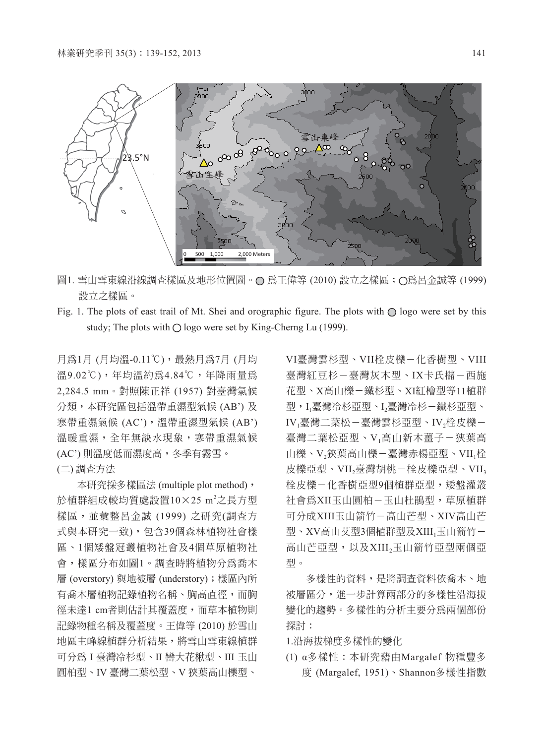

- 圖1. 雪山雪東線沿線調杳樣區及地形位置圖。○ 為王偉等 (2010) 設立之樣區; ○為呂金誠等 (1999) 設立之樣區。
- Fig. 1. The plots of east trail of Mt. Shei and orographic figure. The plots with  $\bigcirc$  logo were set by this study; The plots with  $\bigcirc$  logo were set by King-Cherng Lu (1999).

月為1月 (月均溫-0.11℃),最熱月為7月 (月均 溫9.02℃),年均溫約為4.84℃,年降雨量為 2,284.5 mm。對照陳正祥 (1957) 對臺灣氣候 分類,本研究區包括溫帶重濕型氣候 (AB') 及 寒帶重濕氣候 (AC'),溫帶重濕型氣候 (AB') 溫暖重濕,全年無缺水現象,寒帶重濕氣候 (AC') 則溫度低而濕度高,冬季有霧雪。 (二) 調查方法

本研究採多樣區法 (multiple plot method), 於植群組成較均質處設置 $10\times$ 25 m $^2$ 之長方型 樣區,並彙整呂金誠 (1999) 之研究(調查方 式與本研究一致),包含39個森林植物社會樣 區、1個矮盤冠叢植物社會及4個草原植物社 會,樣區分布如圖1。調查時將植物分為喬木 層 (overstory) 與地被層 (understory);樣區內所 有喬木層植物記錄植物名稱、胸高直徑,而胸 徑未達1 cm者則估計其覆蓋度,而草本植物則 記錄物種名稱及覆蓋度。王偉等 (2010) 於雪山 地區主峰線植群分析結果,將雪山雪東線植群 可分為 I 臺灣冷杉型、II 巒大花楸型、III 玉山 圓柏型、IV 臺灣二葉松型、V 狹葉高山櫟型、

VI臺灣雲杉型、VII栓皮櫟-化香樹型、VIII 臺灣紅豆杉-臺灣灰木型、IX卡氏櫧-西施 花型、X高山櫟-鐵杉型、XI紅檜型等11植群 型,I1臺灣冷杉亞型、I2臺灣冷杉-鐵杉亞型、 IV」臺灣二葉松-臺灣雲杉亞型、IV,栓皮櫟-臺灣二葉松亞型、V<sub>1</sub>高山新木薑子-狹葉高 山櫟、V<sub>2</sub>狹葉高山櫟-臺灣赤楊亞型、VII<sub>1</sub>栓 皮櫟亞型、VII,臺灣胡桃-栓皮櫟亞型、VII, 栓皮櫟-化香樹亞型9個植群亞型,矮盤灌叢 社會為XII玉山圓柏-玉山杜鵑型,草原植群 可分成XIII玉山箭竹-高山芒型、XIV高山芒 型、XV高山艾型3個植群型及XIII」玉山箭竹-高山芒亞型,以及XIII2玉山箭竹亞型兩個亞 型。

多樣性的資料,是將調查資料依喬木、地 被層區分,進一步計算兩部分的多樣性沿海拔 變化的趨勢。多樣性的分析主要分為兩個部份 探討:

1.沿海拔梯度多樣性的變化

(1) α多樣性:本研究藉由Margalef 物種豐多 度 (Margalef, 1951)、Shannon多樣性指數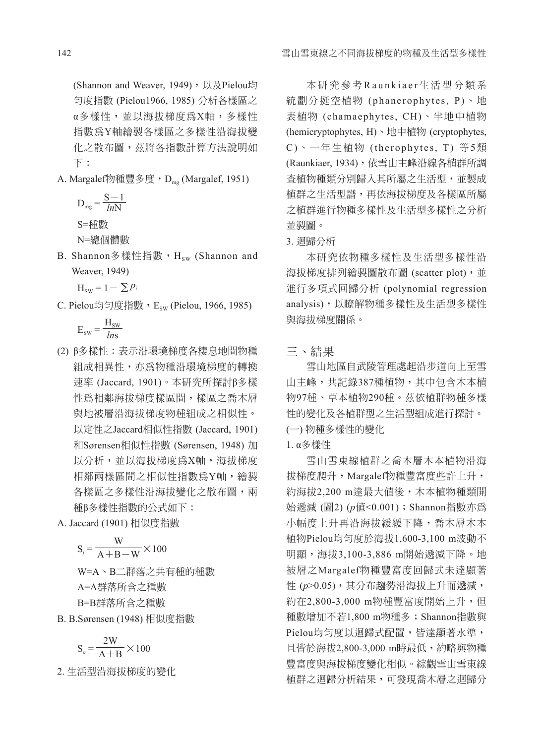(Shannon and Weaver, 1949), 以及Pielou均 勻度指數 (Pielou1966, 1985) 分析各樣區之 α多樣性,並以海拔梯度為X軸,多樣性 指數為Y軸繪製各樣區之多樣性沿海拔變 化之散布圖,茲將各指數計算方法說明如 下:

A. Margalef物種豐多度, D<sub>mg</sub> (Margalef, 1951)

$$
D_{mg} = \frac{S - 1}{lnN}
$$

S=種數

N=總個體數

- B. Shannon多樣性指數, Hsw (Shannon and Weaver, 1949)
	- $H_{sw} = 1 \sum p_i$
- C. Pielou均匀度指數, Esw (Pielou, 1966, 1985)

$$
E_{sw} = \frac{H_{sw}}{lns}
$$

(2) β多樣性:表示沿環境梯度各棲息地間物種 組成相異性,亦為物種沿環境梯度的轉換 速率 (Jaccard, 1901)。本研究所探討β多樣 性為相鄰海拔梯度樣區間,樣區之喬木層 與地被層沿海拔梯度物種組成之相似性。 以定性之Jaccard相似性指數 (Jaccard, 1901) 和Sørensen相似性指數 (Sørensen, 1948) 加 以分析,並以海拔梯度為X軸,海拔梯度 相鄰兩樣區間之相似性指數為Y軸,繪製 各樣區之多樣性沿海拔變化之散布圖,兩 種β多樣性指數的公式如下:

A. Jaccard (1901) 相似度指數

$$
S_j = \frac{W}{A + B - W} \times 100
$$
  
W A B = # #

W=A、B二群落之共有種的種數 A=A群落所含之種數 B=B群落所含之種數

B. B.Sørensen (1948) 相似度指數

$$
S_o = \frac{2W}{A+B} \times 100
$$

2. 生活型沿海拔梯度的變化

本研究參考Raunkiaer生活型分類系 統劃分挺空植物 (phanerophytes, P)、地 表植物 (chamaephytes, CH)、半地中植物 (hemicryptophytes, H)、地中植物 (cryptophytes, C )、一年生植物 (therophytes, T) 等5類 (Raunkiaer, 1934), 依雪山主峰沿線各植群所調 查植物種類分別歸入其所屬之生活型,並製成 植群之生活型譜,再依海拔梯度及各樣區所屬 之植群進行物種多樣性及生活型多樣性之分析 並製圖。

3. 迴歸分析

本研究依物種多樣性及生活型多樣性沿 海拔梯度排列繪製圖散布圖 (scatter plot), 並 進行多項式回歸分析 (polynomial regression analysis),以瞭解物種多樣性及生活型多樣性 與海拔梯度關係。

三、結果

雪山地區自武陵管理處起沿步道向上至雪 山主峰,共記錄387種植物,其中包含木本植 物97種、草本植物290種。茲依植群物種多樣 性的變化及各植群型之生活型組成進行探討。 (一) 物種多樣性的變化

### 1. α多樣性

雪山雪東線植群之喬木層木本植物沿海 拔梯度爬升,Margalef物種豐富度些許上升, 約海拔2,200 m達最大值後,木本植物種類開 始遞減 (圖2) (*p*值<0.001);Shannon指數亦為 小幅度上升再沿海拔緩緩下降,喬木層木本 植物Pielou均勻度於海拔1,600-3,100 m波動不 明顯,海拔3,100-3,886 m開始遞減下降。地 被層之Margalef物種豐富度回歸式未達顯著 性 (p>0.05), 其分布趨勢沿海拔上升而遞減, 約在2,800-3,000 m物種豐富度開始上升,但 種數增加不若1,800 m物種多;Shannon指數與 Pielou均勻度以迴歸式配置,皆達顯著水準, 且皆於海拔2,800-3,000 m時最低,約略與物種 豐富度與海拔梯度變化相似。綜觀雪山雪東線 植群之迴歸分析結果,可發現喬木層之迴歸分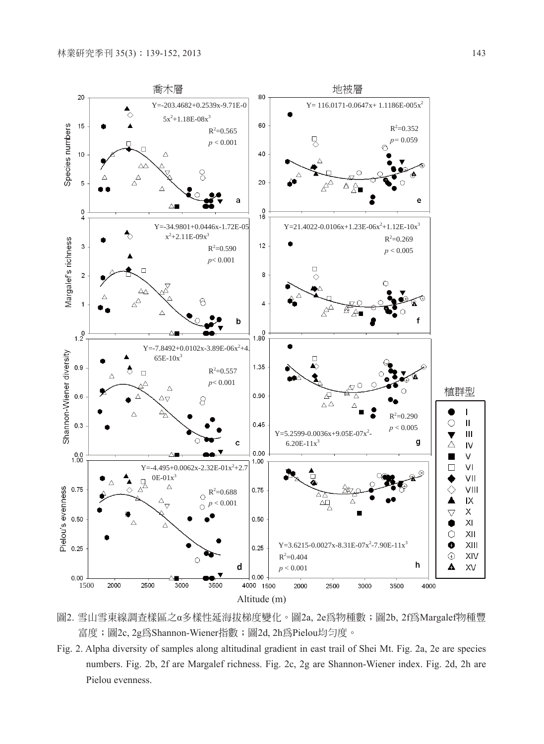

圖2. 雪山雪東線調查樣區之α多樣性延海拔梯度變化。圖2a, 2e為物種數;圖2b, 2f為Margalef物種豐 富度;圖2c, 2g為Shannon-Wiener指數;圖2d, 2h為Pielou均勻度。

Fig. 2. Alpha diversity of samples along altitudinal gradient in east trail of Shei Mt. Fig. 2a, 2e are species numbers. Fig. 2b, 2f are Margalef richness. Fig. 2c, 2g are Shannon-Wiener index. Fig. 2d, 2h are Pielou evenness.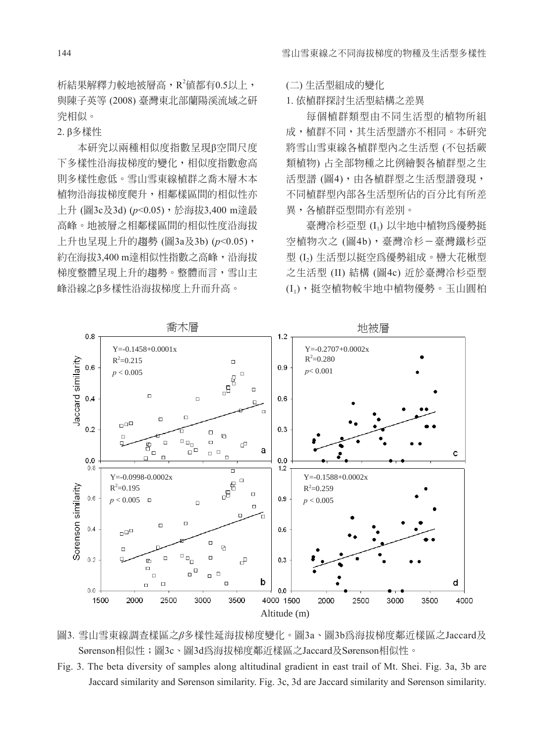析結果解釋力較地被層高, $\mathrm{R}^2$ 值都有 $0.5$ 以上, 與陳子英等 (2008) 臺灣東北部蘭陽溪流域之研 究相似。

2. β多樣性

本研究以兩種相似度指數呈現β空間尺度 下多樣性沿海拔梯度的變化,相似度指數愈高 則多樣性愈低。雪山雪東線植群之喬木層木本 植物沿海拔梯度爬升,相鄰樣區間的相似性亦 上升 (圖3c及3d) (*p*<0.05),於海拔3,400 m達最 高峰。地被層之相鄰樣區間的相似性度沿海拔 上升也呈現上升的趨勢 (圖3a及3b) (*p*<0.05), 約在海拔3,400 m達相似性指數之高峰,沿海拔 梯度整體呈現上升的趨勢。整體而言,雪山主 峰沿線之β多樣性沿海拔梯度上升而升高。

(二) 生活型組成的變化

1. 依植群探討生活型結構之差異

每個植群類型由不同生活型的植物所組 成,植群不同,其生活型譜亦不相同。本研究 將雪山雪東線各植群型內之生活型 (不包括蕨 類植物) 占全部物種之比例繪製各植群型之生 活型譜 (圖4),由各植群型之生活型譜發現, 不同植群型內部各生活型所佔的百分比有所差 異,各植群亞型間亦有差別。

臺灣冷杉亞型 (I1) 以半地中植物為優勢挺 空植物次之 (圖4b),臺灣冷杉-臺灣鐵杉亞 型 (I2) 生活型以挺空為優勢組成。巒大花楸型 之生活型 (II) 結構 (圖4c) 近於臺灣冷杉亞型 (I1),挺空植物較半地中植物優勢。玉山圓柏



圖3. 雪山雪東線調查樣區之*β*多樣性延海拔梯度變化。圖3a、圖3b為海拔梯度鄰近樣區之Jaccard及 Sørenson相似性;圖3c、圖3d為海拔梯度鄰沂樣區之Jaccard及Sørenson相似性。

Fig. 3. The beta diversity of samples along altitudinal gradient in east trail of Mt. Shei. Fig. 3a, 3b are Jaccard similarity and Sørenson similarity. Fig. 3c, 3d are Jaccard similarity and Sørenson similarity.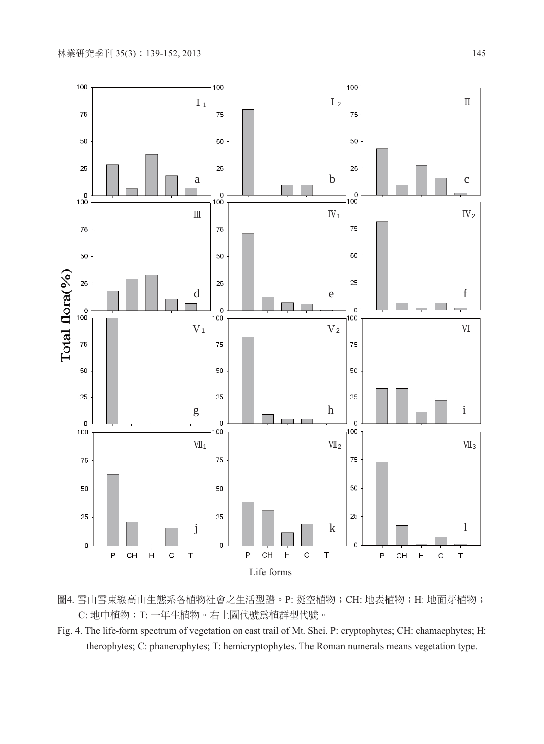

- 圖4. 雪山雪東線高山生態系各植物社會之生活型譜。P: 挺空植物; CH: 地表植物; H: 地面芽植物; C: 地中植物; T: 一年生植物。右上圖代號為植群型代號。
- Fig. 4. The life-form spectrum of vegetation on east trail of Mt. Shei. P: cryptophytes; CH: chamaephytes; H: therophytes; C: phanerophytes; T: hemicryptophytes. The Roman numerals means vegetation type.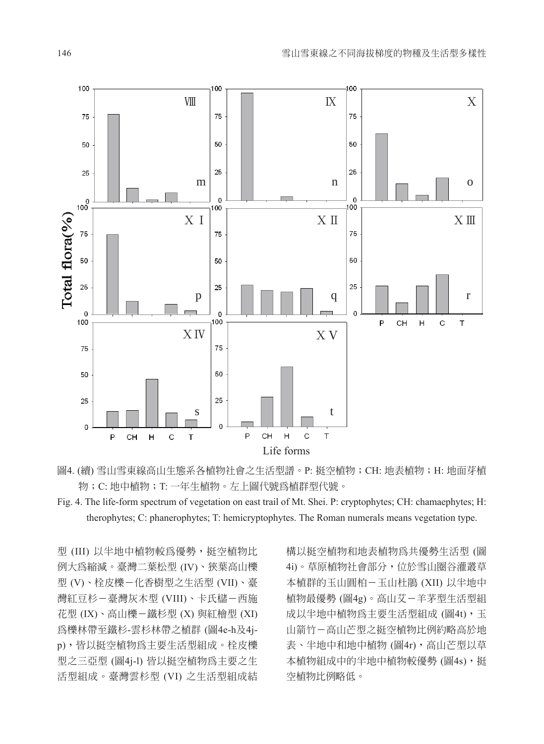

圖4. (續) 雪山雪東線高山生態系各植物社會之生活型譜。P: 挺空植物; CH: 地表植物; H: 地面芽植 物;C: 地中植物;T: 一年生植物。左上圖代號為植群型代號。

型 (III) 以半地中植物較為優勢,挺空植物比 例大為縮減。臺灣二葉松型 (IV)、狹葉高山櫟 型 (V)、栓皮櫟-化香樹型之生活型 (VII)、臺 灣紅豆杉-臺灣灰木型 (VIII)、卡氏櫧-西施 花型 (IX)、高山櫟-鐵杉型 (X) 與紅檜型 (XI) 為櫟林帶至鐵杉-雲杉林帶之植群 (圖4e-h及4jp),皆以挺空植物為主要生活型組成。栓皮櫟 型之三亞型 (圖4j-l) 皆以挺空植物為主要之生 活型組成。臺灣雲杉型 (VI) 之生活型組成結

構以挺空植物和地表植物為共優勢生活型 (圖 4i)。草原植物社會部分,位於雪山圈谷灌叢草 本植群的玉山圓柏-玉山杜鵑 (XII) 以半地中 植物最優勢 (圖4g)。高山艾-羊茅型生活型組 成以半地中植物為主要生活型組成 (圖4t),玉 山箭竹-高山芒型之挺空植物比例約略高於地 表、半地中和地中植物 (圖4r),高山芒型以草 本植物組成中的半地中植物較優勢 (圖4s), 挺 空植物比例略低。

Fig. 4. The life-form spectrum of vegetation on east trail of Mt. Shei. P: cryptophytes; CH: chamaephytes; H: therophytes; C: phanerophytes; T: hemicryptophytes. The Roman numerals means vegetation type.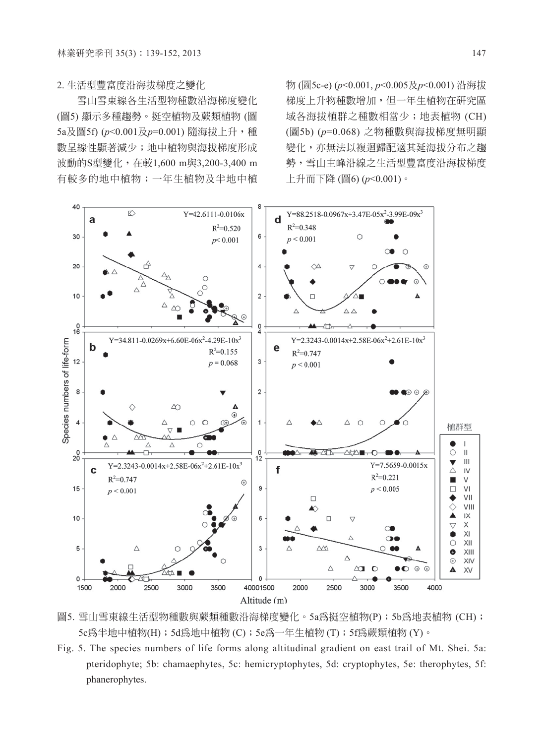2. 生活型豐富度沿海拔梯度之變化

雪山雪東線各生活型物種數沿海梯度變化 (圖5) 顯示多種趨勢。挺空植物及蕨類植物 (圖 5a及圖5f) ( $p$ <0.001及 $p$ =0.001) 隨海拔上升,種 數呈線性顯著減少;地中植物與海拔梯度形成 波動的S型變化,在較1,600 m與3,200-3,400 m 有較多的地中植物;一年生植物及半地中植

物 (圖5c-e) (*p*<0.001, *p*<0.005及*p*<0.001) 沿海拔 梯度上升物種數增加,但一年生植物在研究區 域各海拔植群之種數相當少;地表植物 (CH) (圖5b) (*p*=0.068) 之物種數與海拔梯度無明顯 變化,亦無法以複迴歸配適其延海拔分布之趨 勢,雪山主峰沿線之生活型豐富度沿海拔梯度 上升而下降 (圖6) (*p*<0.001)。



圖5. 雪山雪東線生活型物種數與蕨類種數沿海梯度變化。5a為挺空植物(P);5b為地表植物 (CH); 5c為半地中植物(H);5d為地中植物 (C);5e為一年生植物 (T);5f為蕨類植物 (Y)。

Fig. 5. The species numbers of life forms along altitudinal gradient on east trail of Mt. Shei. 5a: pteridophyte; 5b: chamaephytes, 5c: hemicryptophytes, 5d: cryptophytes, 5e: therophytes, 5f: phanerophytes.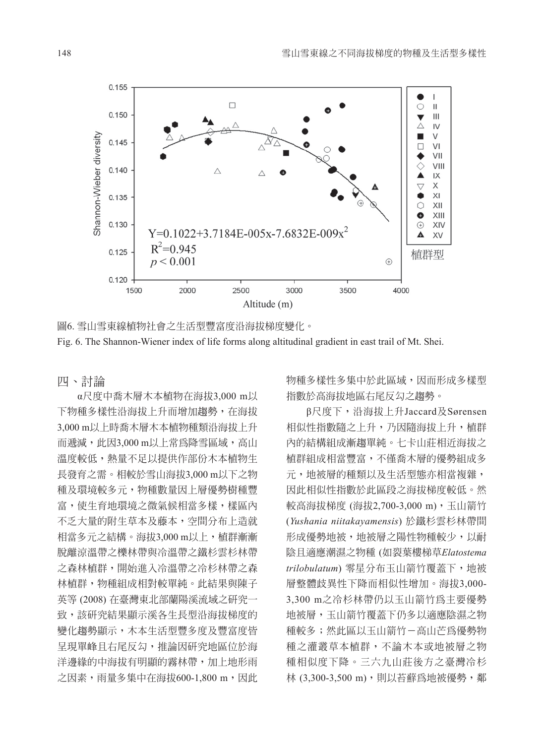

圖6. 雪山雪東線植物社會之生活型豐富度沿海拔梯度變化。 Fig. 6. The Shannon-Wiener index of life forms along altitudinal gradient in east trail of Mt. Shei.

四、討論

α尺度中喬木層木本植物在海拔3,000 m以 下物種多樣性沿海拔上升而增加趨勢,在海拔 3,000 m以上時喬木層木本植物種類沿海拔上升 而遞減,此因3,000 m以上常為降雪區域,高山 溫度較低,熱量不足以提供作部份木本植物生 長發育之需。相較於雪山海拔3,000 m以下之物 種及環境較多元,物種數量因上層優勢樹種豐 富,使生育地環境之微氣候相當多樣,樣區內 不乏大量的附生草本及藤本,空間分布上造就 相當多元之結構。海拔3,000 m以上,植群漸漸 脫離涼溫帶之櫟林帶與冷溫帶之鐵杉雲杉林帶 之森林植群,開始進入冷溫帶之冷杉林帶之森 林植群,物種組成相對較單純。此結果與陳子 英等 (2008) 在臺灣東北部蘭陽溪流域之研究一 致,該研究結果顯示溪各生長型沿海拔梯度的 變化趨勢顯示,木本生活型豐多度及豐富度皆 呈現單峰且右尾反勾,推論因研究地區位於海 洋邊緣的中海拔有明顯的霧林帶,加上地形雨 之因素,雨量多集中在海拔600-1,800 m,因此 物種多樣性多集中於此區域,因而形成多樣型 指數於高海拔地區右尾反勾之趨勢。

β尺度下,沿海拔上升Jaccard及Sørensen 相似性指數隨之上升,乃因隨海拔上升,植群 內的結構組成漸趨單純。七卡山莊相近海拔之 植群組成相當豐富,不僅喬木層的優勢組成多 元,地被層的種類以及生活型態亦相當複雜, 因此相似性指數於此區段之海拔梯度較低。然 較高海拔梯度 (海拔2,700-3,000 m), 玉山箭竹 (*Yushania niitakayamensis*) 於鐵杉雲杉林帶間 形成優勢地被,地被層之陽性物種較少,以耐 陰且適應潮濕之物種 (如裂葉樓梯草*Elatostema trilobulatum*) 零星分布玉山箭竹覆蓋下,地被 層整體歧異性下降而相似性增加。海拔3,000- 3,300 m之冷杉林帶仍以玉山箭竹為主要優勢 地被層,玉山箭竹覆蓋下仍多以適應陰濕之物 種較多;然此區以玉山箭竹-高山芒為優勢物 種之灌叢草本植群,不論木本或地被層之物 種相似度下降。三六九山莊後方之臺灣冷杉 林 (3,300-3,500 m),則以苔蘚為地被優勢,鄰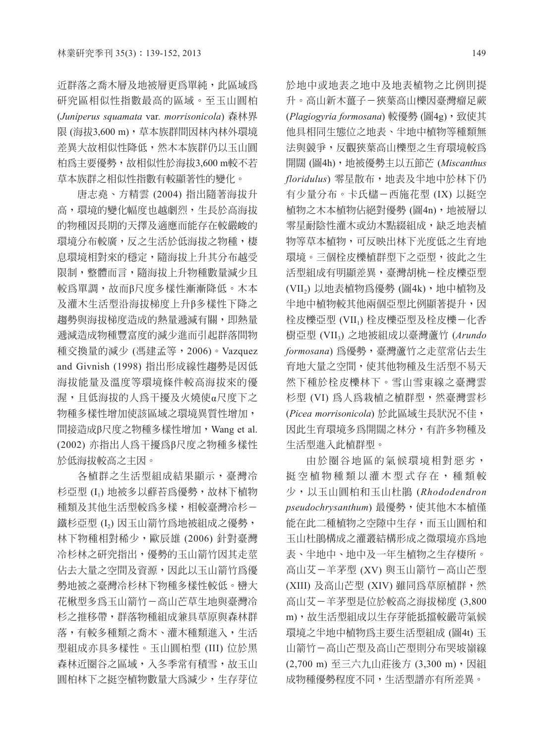近群落之喬木層及地被層更為單純,此區域為 研究區相似性指數最高的區域。至玉山圓柏 (*Juniperus squamata* var*. morrisonicola*) 森林界 限 (海拔3,600 m),草本族群間因林內林外環境 差異大故相似性降低,然木本族群仍以玉山圓 柏為主要優勢,故相似性於海拔3,600 m較不若 草本族群之相似性指數有較顯著性的變化。

唐志堯、方精雲 (2004) 指出隨著海拔升 高,環境的變化幅度也越劇烈,生長於高海拔 的物種因長期的天擇及適應而能存在較嚴峻的 環境分布較廣,反之生活於低海拔之物種,棲 息環境相對來的穩定,隨海拔上升其分布越受 限制,整體而言,隨海拔上升物種數量減少且 較為單調,故而β尺度多樣性漸漸降低。木本 及灌木生活型沿海拔梯度上升β多樣性下降之 趨勢與海拔梯度造成的熱量遞減有關,即熱量 遞減造成物種豐富度的減少進而引起群落間物 種交換量的減少 (馮建孟等,2006)。Vazquez and Givnish (1998) 指出形成線性趨勢是因低 海拔能量及溫度等環境條件較高海拔來的優 渥,且低海拔的人為干擾及火燒使α尺度下之 物種多樣性增加使該區域之環境異質性增加, 間接造成β尺度之物種多樣性增加,Wang et al. (2002) 亦指出人為干擾為β尺度之物種多樣性 於低海拔較高之主因。

各植群之生活型組成結果顯示,臺灣冷 杉亞型 (I1) 地被多以蘚苔為優勢,故林下植物 種類及其他生活型較為多樣,相較臺灣冷杉- 鐵杉亞型 (I2) 因玉山箭竹為地被組成之優勢, 林下物種相對稀少,歐辰雄 (2006) 針對臺灣 冷杉林之研究指出,優勢的玉山箭竹因其走莖 佔去大量之空間及資源,因此以玉山箭竹為優 勢地被之臺灣冷杉林下物種多樣性較低。巒大 花楸型多為玉山箭竹-高山芒草生地與臺灣冷 杉之推移帶,群落物種組成兼具草原與森林群 落,有較多種類之喬木、灌木種類進入,生活 型組成亦具多樣性。玉山圓柏型 (III) 位於黑 森林近圈谷之區域,入冬季常有積雪,故玉山 圓柏林下之挺空植物數量大為減少,生存芽位

於地中或地表之地中及地表植物之比例則提 升。高山新木薑子-狹葉高山櫟因臺灣瘤足蕨 (*Plagiogyria formosana*) 較優勢 (圖4g),致使其 他具相同生態位之地表、半地中植物等種類無 法與競爭,反觀狹葉高山櫟型之生育環境較為 開闊 (圖4h),地被優勢主以五節芒 (*Miscanthus floridulus*) 零星散布,地表及半地中於林下仍 有少量分布。卡氏櫧-西施花型 (IX) 以梃空 植物之木本植物佔絕對優勢 (圖4n),地被層以 **零星耐陰性灌木或幼木點綴組成,缺乏地表植** 物等草本植物,可反映出林下光度低之生育地 環境。三個栓皮櫟植群型下之亞型,彼此之生 活型組成有明顯差異,臺灣胡桃-栓皮櫟亞型 (VII<sub>2</sub>) 以地表植物為優勢 (圖4k), 地中植物及 半地中植物較其他兩個亞型比例顯著提升,因 栓皮櫟亞型 (VII1) 栓皮櫟亞型及栓皮櫟-化香 樹亞型 (VII3) 之地被組成以臺灣蘆竹 (*Arundo formosana*) 為優勢,臺灣蘆竹之走莖常佔去生 育地大量之空間,使其他物種及生活型不易天 然下種於栓皮櫟林下。雪山雪東線之臺灣雲 杉型 (VI) 為人為栽植之植群型,然臺灣雲杉 (*Picea morrisonicola*) 於此區域生長狀況不佳, 因此生育環境多為開闊之林分,有許多物種及 生活型進入此植群型。

由於圈谷地區的氣候環境相對惡劣, 挺空植物種類以灌木型式存在,種類較 少,以玉山圓柏和玉山杜鵑 (*Rhododendron pseudochrysanthum*) 最優勢,使其他木本植僅 能在此二種植物之空隙中生存,而玉山圓柏和 玉山杜鵑構成之灌叢結構形成之微環境亦為地 表、半地中、地中及一年生植物之生存棲所。 高山艾-羊茅型 (XV) 與玉山箭竹-高山芒型 (XIII) 及高山芒型 (XIV) 雖同為草原植群,然 高山艾-羊茅型是位於較高之海拔梯度 (3,800 m),故生活型組成以生存芽能抵擋較嚴苛氣候 環境之半地中植物為主要生活型組成 (圖4t) 玉 山箭竹-高山芒型及高山芒型則分布哭坡嶺線 (2,700 m) 至三六九山莊後方 (3,300 m), 因組 成物種優勢程度不同,生活型譜亦有所差異。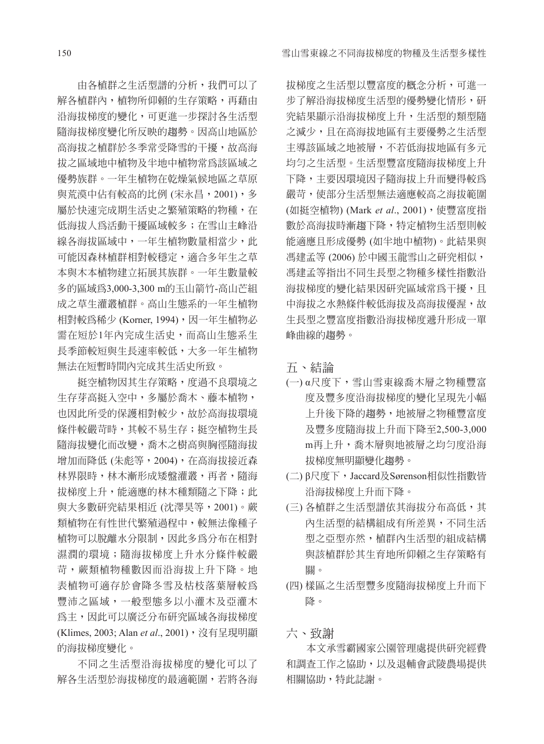由各植群之生活型譜的分析,我們可以了 解各植群內,植物所仰賴的生存策略,再藉由 沿海拔梯度的變化,可更進一步探討各生活型 隨海拔梯度變化所反映的趨勢。因高山地區於 高海拔之植群於冬季常受降雪的干擾,故高海 拔之區域地中植物及半地中植物常為該區域之 優勢族群。一年生植物在乾燥氣候地區之草原 與荒漠中佔有較高的比例 (宋永昌,2001),多 屬於快速完成期生活史之繁殖策略的物種,在 低海拔人為活動干擾區域較多; 在雪山丰峰沿 線各海拔區域中,一年生植物數量相當少,此 可能因森林植群相對較穩定,適合多年生之草 本與木本植物建立拓展其族群。一年生數量較 多的區域為3,000-3,300 m的玉山箭竹-高山芒組 成之草生灌叢植群。高山生態系的一年生植物 相對較為稀少 (Korner, 1994), 因一年生植物必 需在短於1年內完成生活史,而高山生態系生 長季節較短與生長速率較低,大多一年生植物 無法在短暫時間內完成其生活史所致。

挺空植物因其生存策略,度過不良環境之 生存芽高挺入空中,多屬於喬木、藤本植物, 也因此所受的保護相對較少,故於高海拔環境 條件較嚴苛時,其較不易生存;挺空植物生長 隨海拔變化而改變,喬木之樹高與胸徑隨海拔 增加而降低 (朱彪等,2004),在高海拔接近森 林界限時,林木漸形成矮盤灌叢,再者,隨海 拔梯度上升, 能適應的林木種類隨之下降; 此 與大多數研究結果相近 (沈澤昊等,2001)。蕨 **類植物在有性世代繁殖過程中,較無法像種子** 植物可以脫離水分限制,因此多為分布在相對 濕潤的環境;隨海拔梯度上升水分條件較嚴 苛,蕨類植物種數因而沿海拔上升下降。地 表植物可適存於會降冬雪及枯枝落葉層較為 豐沛之區域,一般型態多以小灌木及亞灌木 為主,因此可以廣泛分布研究區域各海拔梯度 (Klimes, 2003; Alan *et al.*, 2001), 沒有呈現明顯 的海拔梯度變化。

不同之生活型沿海拔梯度的變化可以了 解各生活型於海拔梯度的最適範圍,若將各海 拔梯度之生活型以豐富度的概念分析,可進一 步了解沿海拔梯度生活型的優勢變化情形,研 究結果顯示沿海拔梯度上升,生活型的類型隨 之減少,且在高海拔地區有主要優勢之生活型 主導該區域之地被層,不若低海拔地區有多元 均勻之生活型。生活型豐富度隨海拔梯度上升 下降,主要因環境因子隨海拔上升而變得較為 嚴苛,使部分生活型無法適應較高之海拔範圍 (如挺空植物) (Mark et al., 2001), 使豐富度指 數於高海拔時漸趨下降,特定植物生活型則較 能適應且形成優勢 (如半地中植物)。此結果與 馮建孟等 (2006) 於中國玉龍雪山之研究相似, 馮建孟等指出不同生長型之物種多樣性指數沿 海拔梯度的變化結果因研究區域常為干擾, 且 中海拔之水熱條件較低海拔及高海拔優渥,故 生長型之豐富度指數沿海拔梯度遞升形成一單 峰曲線的趨勢。

五、結論

- (一) α尺度下,雪山雪東線喬木層之物種豐富 度及豐多度沿海拔梯度的變化呈現先小幅 上升後下降的趨勢,地被層之物種豐富度 及豐多度隨海拔上升而下降至2,500-3,000 m再上升,喬木層與地被層之均勻度沿海 拔梯度無明顯變化趨勢。
- (二) β尺度下, Jaccard及Sørenson相似性指數皆 沿海拔梯度上升而下降。
- (三) 各植群之生活型譜依其海拔分布高低,其 內生活型的結構組成有所差異,不同生活 型之亞型亦然,植群內生活型的組成結構 與該植群於其生育地所仰賴之生存策略有 關。
- (四) 樣區之生活型豐多度隨海拔梯度上升而下 降。

六、致謝

本文承雪霸國家公園管理處提供研究經費 和調查工作之協助,以及退輔會武陵農場提供 相關協助,特此誌謝。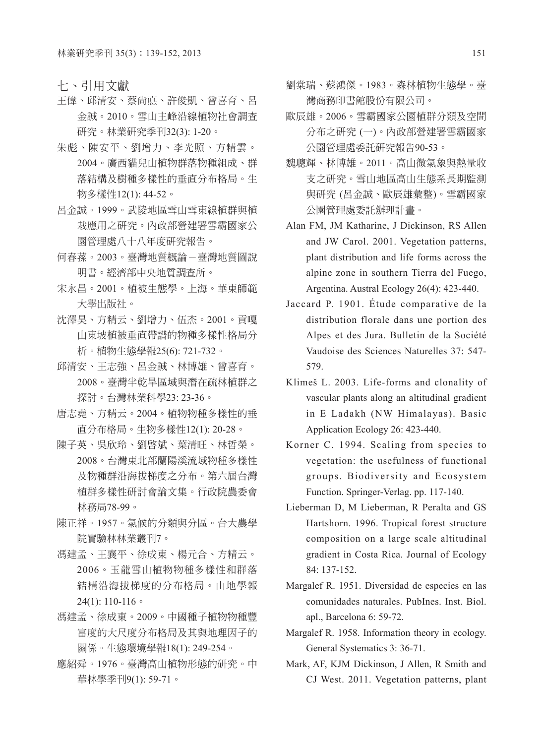七、引用文獻

- 王偉、邱清安、蔡尚悳、許俊凱、曾喜育、呂 金誠。2010。雪山主峰沿線植物社會調查 研究。林業研究季刊32(3): 1-20。
- 朱彪、陳安平、劉增力、李光照、方精雲。 2004。廣西貓兒山植物群落物種組成、群 落結構及樹種多樣性的垂直分布格局。生 物多樣性12(1): 44-52。
- 呂金誠。1999。武陵地區雪山雪東線植群與植 栽應用之研究。內政部營建署雪霸國家公 園管理處八十八年度研究報告。
- 何春蓀。2003。臺灣地質概論-臺灣地質圖說 明書。經濟部中央地質調查所。
- 宋永昌。2001。植被生態學。上海。華東師範 大學出版社。
- 沈澤昊、方精云、劉增力、伍杰。2001。貢嘎 山東坡植被垂直帶譜的物種多樣性格局分 析。植物生態學報25(6): 721-732。
- 邱清安、王志強、呂金誠、林博雄、曾喜育。 2008。臺灣半乾旱區域與潛在疏林植群之 探討。台灣林業科學23: 23-36。
- 唐志堯、方精云。2004。植物物種多樣性的垂 直分布格局。生物多樣性12(1): 20-28。
- 陳子英、吳欣玲、劉啟斌、葉清旺、林哲榮。 2008。台灣東北部蘭陽溪流域物種多樣性 及物種群沿海拔梯度之分布。第六屆台灣 植群多樣性研討會論文集。行政院農委會 林務局78-99。
- 陳正祥。1957。氣候的分類與分區。台大農學 院實驗林林業叢刊7。
- 馮建孟、王襄平、徐成東、楊元合、方精云。 2006。玉龍雪山植物物種多樣性和群落 結構沿海拔梯度的分布格局。山地學報 24(1): 110-116。
- 馮建孟、徐成東。2009。中國種子植物物種豐 富度的大尺度分布格局及其與地理因子的 關係。生態環境學報18(1): 249-254。
- 應紹舜。1976。臺灣高山植物形態的研究。中 華林學季刊9(1): 59-71。
- 劉棠瑞、蘇鴻傑。1983。森林植物生態學。臺 灣商務印書館股份有限公司。
- 歐辰雄。2006。雪霸國家公園植群分類及空間 分布之研究 (一)。內政部營建署雪霸國家 公園管理處委託研究報告90-53。
- 魏聰輝、林博雄。2011。高山微氣象與熱量收 支之研究。雪山地區高山生態系長期監測 與研究 (呂金誠、歐辰雄彙整)。雪霸國家 公園管理處委託辦理計畫。
- Alan FM, JM Katharine, J Dickinson, RS Allen and JW Carol. 2001. Vegetation patterns, plant distribution and life forms across the alpine zone in southern Tierra del Fuego, Argentina. Austral Ecology 26(4): 423-440.
- Jaccard P. 1901. Étude comparative de la distribution florale dans une portion des Alpes et des Jura. Bulletin de la Société Vaudoise des Sciences Naturelles 37: 547- 579.
- Klimeš L. 2003. Life-forms and clonality of vascular plants along an altitudinal gradient in E Ladakh (NW Himalayas). Basic Application Ecology 26: 423-440.
- Korner C. 1994. Scaling from species to vegetation: the usefulness of functional groups. Biodiversity and Ecosystem Function. Springer-Verlag. pp. 117-140.
- Lieberman D, M Lieberman, R Peralta and GS Hartshorn. 1996. Tropical forest structure composition on a large scale altitudinal gradient in Costa Rica. Journal of Ecology 84: 137-152.
- Margalef R. 1951. Diversidad de especies en las comunidades naturales. PubInes. Inst. Biol. apl., Barcelona 6: 59-72.
- Margalef R. 1958. Information theory in ecology. General Systematics 3: 36-71.
- Mark, AF, KJM Dickinson, J Allen, R Smith and CJ West. 2011. Vegetation patterns, plant